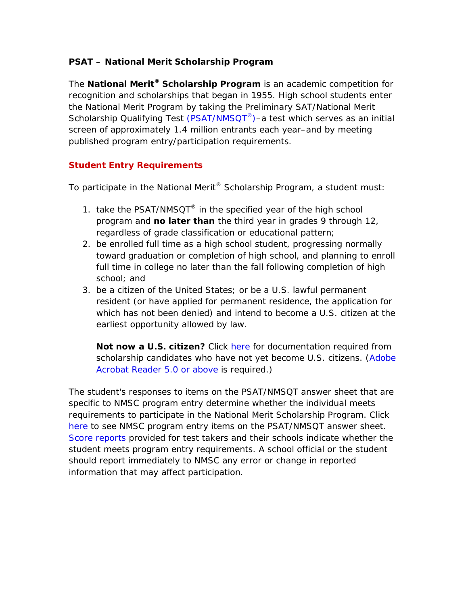# **PSAT – National Merit Scholarship Program**

The **National Merit® Scholarship Program** is an academic competition for recognition and scholarships that began in 1955. High school students enter the National Merit Program by taking the Preliminary SAT/National Merit Scholarship Qualifying Test (PSAT/NMSQT<sup>®</sup>)–a test which serves as an initial screen of approximately 1.4 million entrants each year–and by meeting published program entry/participation requirements.

## **Student Entry Requirements**

To participate in the National Merit<sup>®</sup> Scholarship Program, a student must:

- 1. take the PSAT/NMSQT® in the specified year of the high school program and **no later than** the third year in grades 9 through 12, *regardless of grade classification or educational pattern*;
- 2. be enrolled full time as a high school student, progressing normally toward graduation or completion of high school, and planning to enroll full time in college no later than the fall following completion of high school; and
- 3. be a citizen of the United States; or be a U.S. lawful permanent resident (or have applied for permanent residence, the application for which has not been denied) and intend to become a U.S. citizen at the earliest opportunity allowed by law.

**Not now a U.S. citizen?** Click [here f](http://www.nationalmerit.org/citizenship.pdf)or documentation required from scholarship candidates who have not yet become U.S. citizens. [\(Adobe](http://www.adobe.com/products/acrobat/readstep2.html)  [Acrobat Reader 5.0 or above](http://www.adobe.com/products/acrobat/readstep2.html) is required.)

The student's responses to items on the PSAT/NMSQT answer sheet that are specific to NMSC program entry determine whether the individual meets requirements to participate in the National Merit Scholarship Program. Click [here t](http://www.nationalmerit.org/answer_sheet.html)o see NMSC program entry items on the PSAT/NMSQT answer sheet. [Score reports p](http://www.nationalmerit.org/psat-nmsqt_score_report.png)rovided for test takers and their schools indicate whether the student meets program entry requirements. A school official or the student should report immediately to NMSC any error or change in reported information that may affect participation.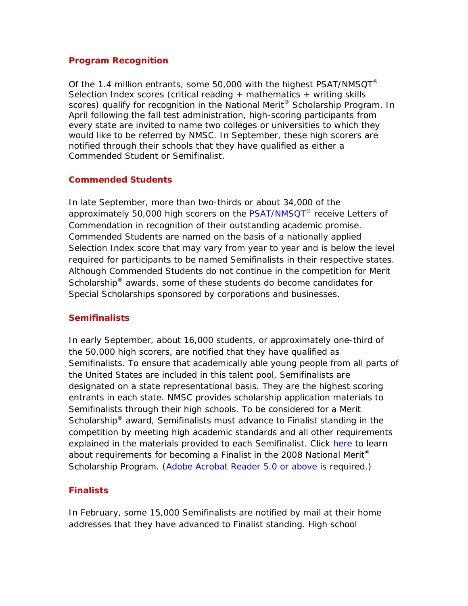#### **Program Recognition**

Of the 1.4 million entrants, some 50,000 with the highest [PSAT/NMSQT](http://www.nationalmerit.org/entering.php) $^{\circ}$ Selection Index scores (critical reading  $+$  mathematics  $+$  writing skills scores) qualify for recognition in the National Merit<sup>®</sup> Scholarship Program. In April following the fall test administration, high-scoring participants from every state are invited to name two colleges or universities to which they would like to be referred by NMSC. In September, these high scorers are notified through their schools that they have qualified as either a Commended Student or Semifinalist.

### **Commended Students**

In late September, more than two-thirds or about 34,000 of the approximately 50,000 high scorers on the [PSAT/NMSQT](http://www.nationalmerit.org/entering.php)<sup>®</sup> receive Letters of Commendation in recognition of their outstanding academic promise. Commended Students are named on the basis of a nationally applied Selection Index score that may vary from year to year and is below the level required for participants to be named Semifinalists in their respective states. Although Commended Students do not continue in the competition for Merit Scholarship® awards, some of these students do become candidates for Special Scholarships sponsored by corporations and businesses.

### **Semifinalists**

In early September, about 16,000 students, or approximately one-third of the 50,000 high scorers, are notified that they have qualified as Semifinalists. To ensure that academically able young people from all parts of the United States are included in this talent pool, Semifinalists are designated on a state representational basis. They are the highest scoring entrants in each state. NMSC provides scholarship application materials to Semifinalists through their high schools. To be considered for a Merit Scholarship<sup>®</sup> award, Semifinalists must advance to Finalist standing in the competition by meeting high academic standards and all other requirements explained in the materials provided to each Semifinalist. Click [here t](http://www.nationalmerit.org/Merit_R&I_Leaflet.pdf)o learn about requirements for becoming a Finalist in the 2008 National Merit® Scholarship Program. [\(Adobe Acrobat Reader 5.0 or above](http://www.adobe.com/products/acrobat/readstep2.html) is required.)

## **Finalists**

In February, some 15,000 Semifinalists are notified by mail at their home addresses that they have advanced to Finalist standing. High school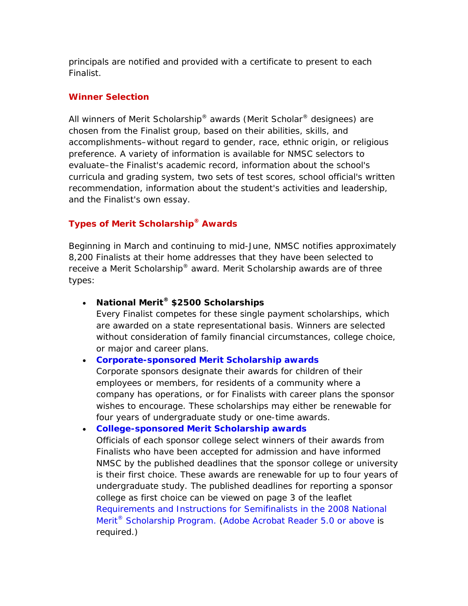principals are notified and provided with a certificate to present to each Finalist.

### **Winner Selection**

All winners of Merit Scholarship<sup>®</sup> awards (Merit Scholar<sup>®</sup> designees) are chosen from the Finalist group, based on their abilities, skills, and accomplishments–without regard to gender, race, ethnic origin, or religious preference. A variety of information is available for NMSC selectors to evaluate–the Finalist's academic record, information about the school's curricula and grading system, two sets of test scores, school official's written recommendation, information about the student's activities and leadership, and the Finalist's own essay.

# **Types of Merit Scholarship® Awards**

Beginning in March and continuing to mid-June, NMSC notifies approximately 8,200 Finalists at their home addresses that they have been selected to receive a Merit Scholarship® award. Merit Scholarship awards are of three types:

• **National Merit® \$2500 Scholarships**

Every Finalist competes for these single payment scholarships, which are awarded on a state representational basis. Winners are selected without consideration of family financial circumstances, college choice, or major and career plans.

## • **[Corporate-sponsored Merit Scholarship awards](http://www.nationalmerit.org/sponsorship.php#corporate)**

Corporate sponsors designate their awards for children of their employees or members, for residents of a community where a company has operations, or for Finalists with career plans the sponsor wishes to encourage. These scholarships may either be renewable for four years of undergraduate study or one-time awards.

• **[College-sponsored Merit Scholarship awards](http://www.nationalmerit.org/sponsorship.php#college)**

Officials of each sponsor college select winners of their awards from Finalists who have been accepted for admission and have informed NMSC by the published deadlines that the sponsor college or university is their first choice. These awards are renewable for up to four years of undergraduate study. The published deadlines for reporting a sponsor college as first choice can be viewed on page 3 of the leaflet *[Requirements and Instructions for Semifinalists in the 2008 National](http://www.nationalmerit.org/Merit_R&I_Leaflet.pdf)  Merit® [Scholarship Program.](http://www.nationalmerit.org/Merit_R&I_Leaflet.pdf)* [\(Adobe Acrobat Reader 5.0 or above i](http://www.adobe.com/products/acrobat/readstep2.html)s required.)